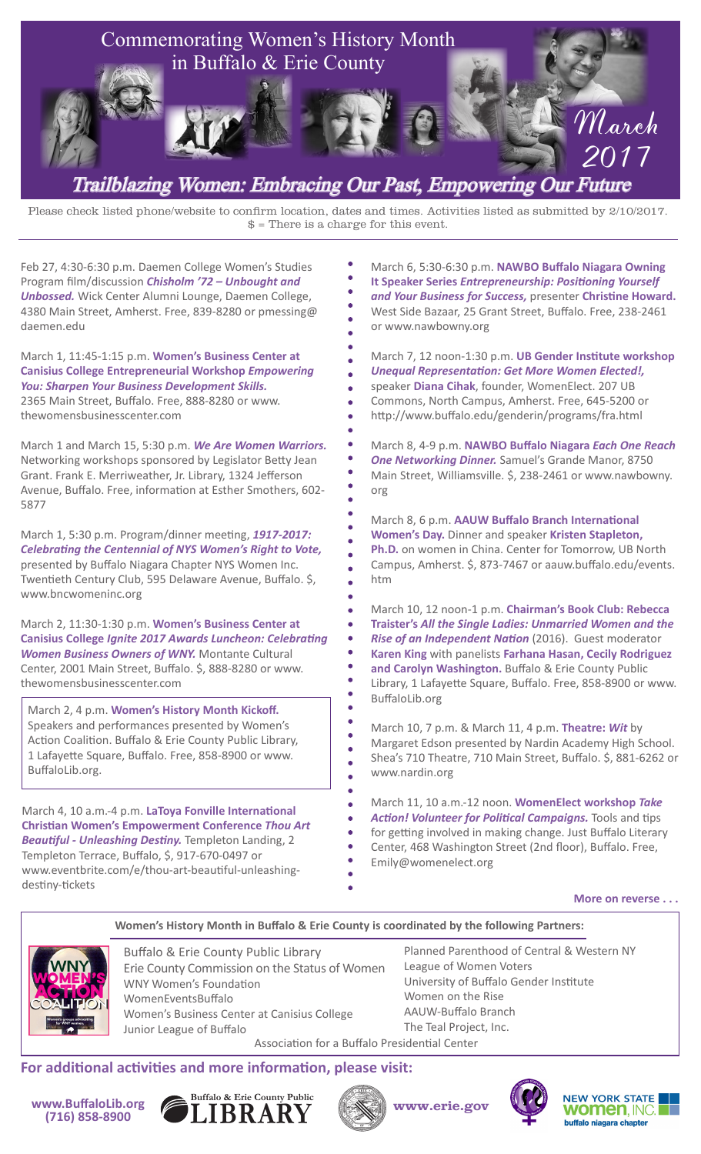

## Trailblazing Women: Embracing Our Past, Empowering Our Future

Please check listed phone/website to confirm location, dates and times. Activities listed as submitted by 2/10/2017.  $$ = There is a charge for this event.$ 

Feb 27, 4:30-6:30 p.m. Daemen College Women's Studies Program film/discussion *Chisholm '72 – Unbought and Unbossed.* Wick Center Alumni Lounge, Daemen College, 4380 Main Street, Amherst. Free, 839-8280 or pmessing@ daemen.edu

March 1, 11:45-1:15 p.m. **Women's Business Center at Canisius College Entrepreneurial Workshop** *Empowering You: Sharpen Your Business Development Skills.* 

2365 Main Street, Buffalo. Free, 888-8280 or www. thewomensbusinesscenter.com

March 1 and March 15, 5:30 p.m. *We Are Women Warriors.* Networking workshops sponsored by Legislator Betty Jean Grant. Frank E. Merriweather, Jr. Library, 1324 Jefferson Avenue, Buffalo. Free, information at Esther Smothers, 602- 5877

March 1, 5:30 p.m. Program/dinner meeting, *1917-2017: Celebrating the Centennial of NYS Women's Right to Vote,* presented by Buffalo Niagara Chapter NYS Women Inc. Twentieth Century Club, 595 Delaware Avenue, Buffalo. \$, www.bncwomeninc.org

March 2, 11:30-1:30 p.m. **Women's Business Center at Canisius College** *Ignite 2017 Awards Luncheon: Celebrating Women Business Owners of WNY.* Montante Cultural Center, 2001 Main Street, Buffalo. \$, 888-8280 or www. thewomensbusinesscenter.com

March 2, 4 p.m. **Women's History Month Kickoff.** Speakers and performances presented by Women's Action Coalition. Buffalo & Erie County Public Library, 1 Lafayette Square, Buffalo. Free, 858-8900 or www. BuffaloLib.org.

March 4, 10 a.m.-4 p.m. **LaToya Fonville International Christian Women's Empowerment Conference** *Thou Art Beautiful - Unleashing Destiny.* Templeton Landing, 2 Templeton Terrace, Buffalo, \$, 917-670-0497 or www.eventbrite.com/e/thou-art-beautiful-unleashingdestiny-tickets

March 6, 5:30-6:30 p.m. **NAWBO Buffalo Niagara Owning It Speaker Series** *Entrepreneurship: Positioning Yourself and Your Business for Success,* presenter **Christine Howard.** West Side Bazaar, 25 Grant Street, Buffalo. Free, 238-2461 or www.nawbowny.org

March 7, 12 noon-1:30 p.m. **UB Gender Institute workshop**  *Unequal Representation: Get More Women Elected!,* speaker **Diana Cihak**, founder, WomenElect. 207 UB Commons, North Campus, Amherst. Free, 645-5200 or http://www.buffalo.edu/genderin/programs/fra.html

March 8, 4-9 p.m. **NAWBO Buffalo Niagara** *Each One Reach One Networking Dinner.* Samuel's Grande Manor, 8750 Main Street, Williamsville. \$, 238-2461 or www.nawbowny. org

March 8, 6 p.m. **AAUW Buffalo Branch International Women's Day.** Dinner and speaker **Kristen Stapleton, Ph.D.** on women in China. Center for Tomorrow, UB North Campus, Amherst. \$, 873-7467 or aauw.buffalo.edu/events. htm

March 10, 12 noon-1 p.m. **Chairman's Book Club: Rebecca Traister's** *All the Single Ladies: Unmarried Women and the Rise of an Independent Nation* (2016). Guest moderator **Karen King** with panelists **Farhana Hasan, Cecily Rodriguez and Carolyn Washington.** Buffalo & Erie County Public Library, 1 Lafayette Square, Buffalo. Free, 858-8900 or www. BuffaloLib.org

March 10, 7 p.m. & March 11, 4 p.m. **Theatre:** *Wit* by Margaret Edson presented by Nardin Academy High School. Shea's 710 Theatre, 710 Main Street, Buffalo. \$, 881-6262 or www.nardin.org

March 11, 10 a.m.-12 noon. **WomenElect workshop** *Take Action! Volunteer for Political Campaigns.* Tools and tips for getting involved in making change. Just Buffalo Literary Center, 468 Washington Street (2nd floor), Buffalo. Free, Emily@womenelect.org

**More on reverse . . .**

**Women's History Month in Buffalo & Erie County is coordinated by the following Partners:**



Buffalo & Erie County Public Library Erie County Commission on the Status of Women WNY Women's Foundation WomenEventsBuffalo Women's Business Center at Canisius College Junior League of Buffalo Association for a Buffalo Presidential Center

Planned Parenthood of Central & Western NY League of Women Voters University of Buffalo Gender Institute Women on the Rise AAUW-Buffalo Branch The Teal Project, Inc.

**For additional activities and more information, please visit:**











**NEW YORK STATE women**. INC. buffalo niagara chapter